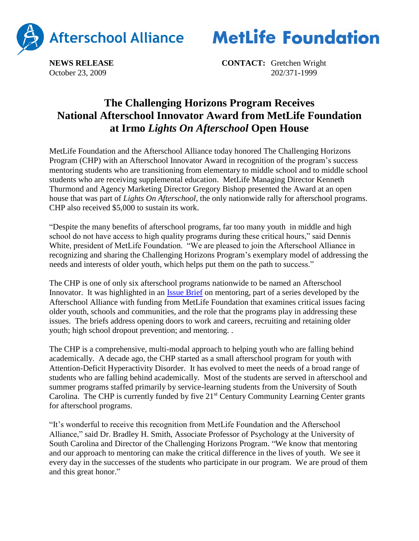



**NEWS RELEASE CONTACT:** Gretchen Wright October 23, 2009 202/371-1999

## **The Challenging Horizons Program Receives National Afterschool Innovator Award from MetLife Foundation at Irmo** *Lights On Afterschool* **Open House**

MetLife Foundation and the Afterschool Alliance today honored The Challenging Horizons Program (CHP) with an Afterschool Innovator Award in recognition of the program's success mentoring students who are transitioning from elementary to middle school and to middle school students who are receiving supplemental education. MetLife Managing Director Kenneth Thurmond and Agency Marketing Director Gregory Bishop presented the Award at an open house that was part of *Lights On Afterschool*, the only nationwide rally for afterschool programs. CHP also received \$5,000 to sustain its work.

"Despite the many benefits of afterschool programs, far too many youth in middle and high school do not have access to high quality programs during these critical hours," said Dennis White, president of MetLife Foundation. "We are pleased to join the Afterschool Alliance in recognizing and sharing the Challenging Horizons Program's exemplary model of addressing the needs and interests of older youth, which helps put them on the path to success."

The CHP is one of only six afterschool programs nationwide to be named an Afterschool Innovator. It was highlighted in an **Issue Brief** on mentoring, part of a series developed by the Afterschool Alliance with funding from MetLife Foundation that examines critical issues facing older youth, schools and communities, and the role that the programs play in addressing these issues. The briefs address opening doors to work and careers, recruiting and retaining older youth; high school dropout prevention; and mentoring. .

The CHP is a comprehensive, multi-modal approach to helping youth who are falling behind academically. A decade ago, the CHP started as a small afterschool program for youth with Attention-Deficit Hyperactivity Disorder. It has evolved to meet the needs of a broad range of students who are falling behind academically. Most of the students are served in afterschool and summer programs staffed primarily by service-learning students from the University of South Carolina. The CHP is currently funded by five 21<sup>st</sup> Century Community Learning Center grants for afterschool programs.

"It's wonderful to receive this recognition from MetLife Foundation and the Afterschool Alliance," said Dr. Bradley H. Smith, Associate Professor of Psychology at the University of South Carolina and Director of the Challenging Horizons Program. "We know that mentoring and our approach to mentoring can make the critical difference in the lives of youth. We see it every day in the successes of the students who participate in our program. We are proud of them and this great honor."